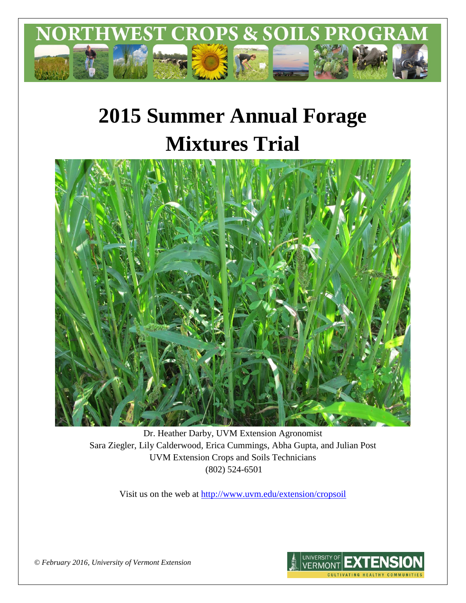

# **2015 Summer Annual Forage Mixtures Trial**



Dr. Heather Darby, UVM Extension Agronomist Sara Ziegler, Lily Calderwood, Erica Cummings, Abha Gupta, and Julian Post UVM Extension Crops and Soils Technicians (802) 524-6501

Visit us on the web at <http://www.uvm.edu/extension/cropsoil>



*© February 2016, University of Vermont Extension*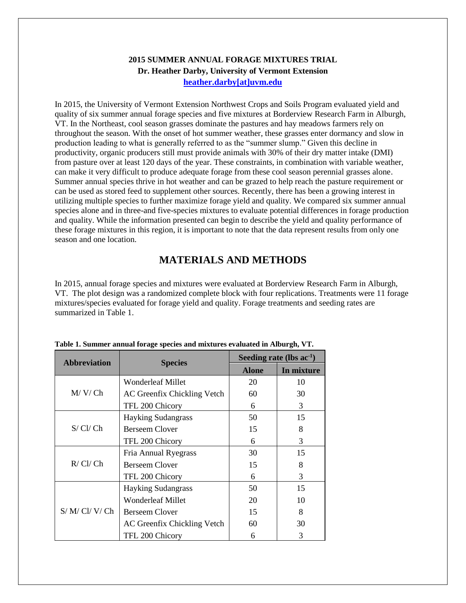### **2015 SUMMER ANNUAL FORAGE MIXTURES TRIAL Dr. Heather Darby, University of Vermont Extension [heather.darby\[at\]uvm.edu](mailto:heather.darby@uvm.edu?subject=2013%20Long%20Season%20Corn%20Report)**

In 2015, the University of Vermont Extension Northwest Crops and Soils Program evaluated yield and quality of six summer annual forage species and five mixtures at Borderview Research Farm in Alburgh, VT. In the Northeast, cool season grasses dominate the pastures and hay meadows farmers rely on throughout the season. With the onset of hot summer weather, these grasses enter dormancy and slow in production leading to what is generally referred to as the "summer slump." Given this decline in productivity, organic producers still must provide animals with 30% of their dry matter intake (DMI) from pasture over at least 120 days of the year. These constraints, in combination with variable weather, can make it very difficult to produce adequate forage from these cool season perennial grasses alone. Summer annual species thrive in hot weather and can be grazed to help reach the pasture requirement or can be used as stored feed to supplement other sources. Recently, there has been a growing interest in utilizing multiple species to further maximize forage yield and quality. We compared six summer annual species alone and in three-and five-species mixtures to evaluate potential differences in forage production and quality. While the information presented can begin to describe the yield and quality performance of these forage mixtures in this region, it is important to note that the data represent results from only one season and one location.

# **MATERIALS AND METHODS**

In 2015, annual forage species and mixtures were evaluated at Borderview Research Farm in Alburgh, VT. The plot design was a randomized complete block with four replications. Treatments were 11 forage mixtures/species evaluated for forage yield and quality. Forage treatments and seeding rates are summarized in Table 1.

| <b>Abbreviation</b> | <b>Species</b>              | Seeding rate (lbs $ac^{-1}$ ) |               |  |  |
|---------------------|-----------------------------|-------------------------------|---------------|--|--|
|                     |                             | <b>Alone</b>                  | In mixture    |  |  |
|                     | Wonderleaf Millet           | 20                            | 10            |  |  |
| M/V/Ch              | AC Greenfix Chickling Vetch | 60                            | 30            |  |  |
|                     | TFL 200 Chicory             | 6                             | 3             |  |  |
|                     | <b>Hayking Sudangrass</b>   | 50                            | 15            |  |  |
| S/CI/Ch             | <b>Berseem Clover</b>       | 15                            | 8             |  |  |
|                     | TFL 200 Chicory             | 6                             | 3             |  |  |
|                     | Fria Annual Ryegrass        | 30                            | 15            |  |  |
| R/CI/Ch             | <b>Berseem Clover</b>       | 15                            | 8             |  |  |
|                     | TFL 200 Chicory             | 6                             | $\mathcal{R}$ |  |  |
|                     | <b>Hayking Sudangrass</b>   | 50                            | 15            |  |  |
| S/M/CI/V/Ch         | <b>Wonderleaf Millet</b>    | 20                            | 10            |  |  |
|                     | Berseem Clover              | 15                            | 8             |  |  |
|                     | AC Greenfix Chickling Vetch | 60                            | 30            |  |  |
|                     | TFL 200 Chicory             | 6                             | 3             |  |  |

#### **Table 1. Summer annual forage species and mixtures evaluated in Alburgh, VT.**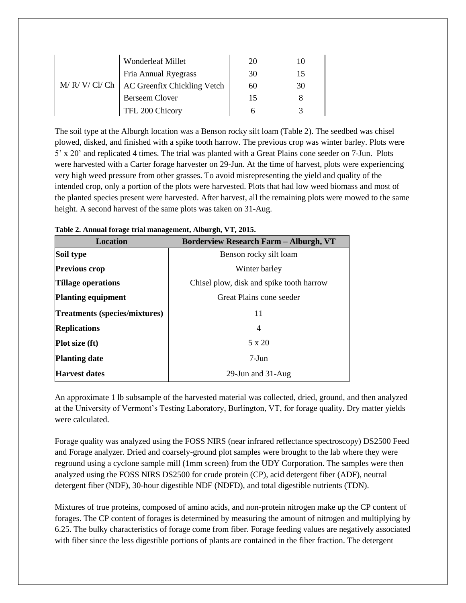| M/R/V/CI/Ch | Wonderleaf Millet           | 20 |    |
|-------------|-----------------------------|----|----|
|             | Fria Annual Ryegrass        | 30 |    |
|             | AC Greenfix Chickling Vetch | 60 | 30 |
|             | <b>Berseem Clover</b>       | 15 |    |
|             | TFL 200 Chicory             |    |    |

The soil type at the Alburgh location was a Benson rocky silt loam (Table 2). The seedbed was chisel plowed, disked, and finished with a spike tooth harrow. The previous crop was winter barley. Plots were 5' x 20' and replicated 4 times. The trial was planted with a Great Plains cone seeder on 7-Jun. Plots were harvested with a Carter forage harvester on 29-Jun. At the time of harvest, plots were experiencing very high weed pressure from other grasses. To avoid misrepresenting the yield and quality of the intended crop, only a portion of the plots were harvested. Plots that had low weed biomass and most of the planted species present were harvested. After harvest, all the remaining plots were mowed to the same height. A second harvest of the same plots was taken on 31-Aug.

| 1 war 2, 11 maart 101 wet in men men en de de gewen en 'e 15 20 10 i |  |  |  |  |  |
|----------------------------------------------------------------------|--|--|--|--|--|
| <b>Borderview Research Farm - Alburgh, VT</b>                        |  |  |  |  |  |
| Benson rocky silt loam                                               |  |  |  |  |  |
| Winter barley                                                        |  |  |  |  |  |
| Chisel plow, disk and spike tooth harrow                             |  |  |  |  |  |
| Great Plains cone seeder                                             |  |  |  |  |  |
| 11                                                                   |  |  |  |  |  |
| 4                                                                    |  |  |  |  |  |
| 5 x 20                                                               |  |  |  |  |  |
| $7-J$ un                                                             |  |  |  |  |  |
| 29-Jun and 31-Aug                                                    |  |  |  |  |  |
|                                                                      |  |  |  |  |  |

|  |  | Table 2. Annual forage trial management, Alburgh, VT, 2015. |
|--|--|-------------------------------------------------------------|
|--|--|-------------------------------------------------------------|

An approximate 1 lb subsample of the harvested material was collected, dried, ground, and then analyzed at the University of Vermont's Testing Laboratory, Burlington, VT, for forage quality. Dry matter yields were calculated.

Forage quality was analyzed using the FOSS NIRS (near infrared reflectance spectroscopy) DS2500 Feed and Forage analyzer. Dried and coarsely-ground plot samples were brought to the lab where they were reground using a cyclone sample mill (1mm screen) from the UDY Corporation. The samples were then analyzed using the FOSS NIRS DS2500 for crude protein (CP), acid detergent fiber (ADF), neutral detergent fiber (NDF), 30-hour digestible NDF (NDFD), and total digestible nutrients (TDN).

Mixtures of true proteins, composed of amino acids, and non-protein nitrogen make up the CP content of forages. The CP content of forages is determined by measuring the amount of nitrogen and multiplying by 6.25. The bulky characteristics of forage come from fiber. Forage feeding values are negatively associated with fiber since the less digestible portions of plants are contained in the fiber fraction. The detergent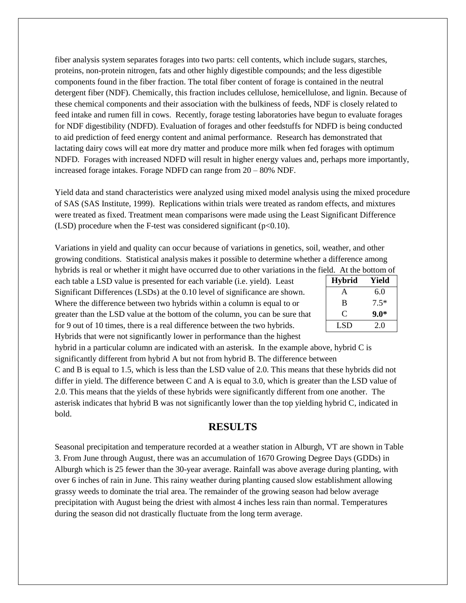fiber analysis system separates forages into two parts: cell contents, which include sugars, starches, proteins, non-protein nitrogen, fats and other highly digestible compounds; and the less digestible components found in the fiber fraction. The total fiber content of forage is contained in the neutral detergent fiber (NDF). Chemically, this fraction includes cellulose, hemicellulose, and lignin. Because of these chemical components and their association with the bulkiness of feeds, NDF is closely related to feed intake and rumen fill in cows. Recently, forage testing laboratories have begun to evaluate forages for NDF digestibility (NDFD). Evaluation of forages and other feedstuffs for NDFD is being conducted to aid prediction of feed energy content and animal performance. Research has demonstrated that lactating dairy cows will eat more dry matter and produce more milk when fed forages with optimum NDFD. Forages with increased NDFD will result in higher energy values and, perhaps more importantly, increased forage intakes. Forage NDFD can range from 20 – 80% NDF.

Yield data and stand characteristics were analyzed using mixed model analysis using the mixed procedure of SAS (SAS Institute, 1999). Replications within trials were treated as random effects, and mixtures were treated as fixed. Treatment mean comparisons were made using the Least Significant Difference (LSD) procedure when the F-test was considered significant ( $p<0.10$ ).

Variations in yield and quality can occur because of variations in genetics, soil, weather, and other growing conditions. Statistical analysis makes it possible to determine whether a difference among hybrids is real or whether it might have occurred due to other variations in the field. At the bottom of

each table a LSD value is presented for each variable (i.e. yield). Least Significant Differences (LSDs) at the 0.10 level of significance are shown. Where the difference between two hybrids within a column is equal to or greater than the LSD value at the bottom of the column, you can be sure that for 9 out of 10 times, there is a real difference between the two hybrids. Hybrids that were not significantly lower in performance than the highest

| <b>Hybrid</b> | Yield  |  |  |  |  |
|---------------|--------|--|--|--|--|
| A             | 6.0    |  |  |  |  |
| B             | $7.5*$ |  |  |  |  |
| C             | $9.0*$ |  |  |  |  |
| LSD           | 2.0    |  |  |  |  |

hybrid in a particular column are indicated with an asterisk. In the example above, hybrid C is significantly different from hybrid A but not from hybrid B. The difference between C and B is equal to 1.5, which is less than the LSD value of 2.0. This means that these hybrids did not differ in yield. The difference between C and A is equal to 3.0, which is greater than the LSD value of 2.0. This means that the yields of these hybrids were significantly different from one another. The asterisk indicates that hybrid B was not significantly lower than the top yielding hybrid C, indicated in bold.

## **RESULTS**

Seasonal precipitation and temperature recorded at a weather station in Alburgh, VT are shown in Table 3. From June through August, there was an accumulation of 1670 Growing Degree Days (GDDs) in Alburgh which is 25 fewer than the 30-year average. Rainfall was above average during planting, with over 6 inches of rain in June. This rainy weather during planting caused slow establishment allowing grassy weeds to dominate the trial area. The remainder of the growing season had below average precipitation with August being the driest with almost 4 inches less rain than normal. Temperatures during the season did not drastically fluctuate from the long term average.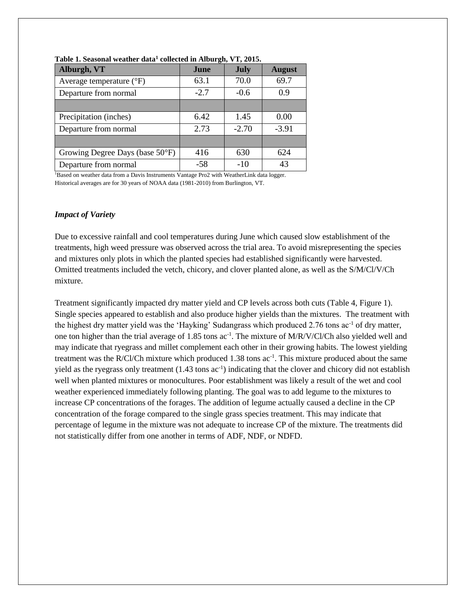| Alburgh, VT                       | June   | July    | <b>August</b> |
|-----------------------------------|--------|---------|---------------|
| Average temperature $(^{\circ}F)$ | 63.1   | 70.0    | 69.7          |
| Departure from normal             | $-2.7$ | $-0.6$  | 0.9           |
|                                   |        |         |               |
| Precipitation (inches)            | 6.42   | 1.45    | 0.00          |
| Departure from normal             | 2.73   | $-2.70$ | $-3.91$       |
|                                   |        |         |               |
| Growing Degree Days (base 50°F)   | 416    | 630     | 624           |
| Departure from normal             | $-58$  | $-10$   | 43            |

**Table 1. Seasonal weather data<sup>1</sup> collected in Alburgh, VT, 2015.**

<sup>1</sup>Based on weather data from a Davis Instruments Vantage Pro2 with WeatherLink data logger. Historical averages are for 30 years of NOAA data (1981-2010) from Burlington, VT.

#### *Impact of Variety*

Due to excessive rainfall and cool temperatures during June which caused slow establishment of the treatments, high weed pressure was observed across the trial area. To avoid misrepresenting the species and mixtures only plots in which the planted species had established significantly were harvested. Omitted treatments included the vetch, chicory, and clover planted alone, as well as the S/M/Cl/V/Ch mixture.

Treatment significantly impacted dry matter yield and CP levels across both cuts (Table 4, Figure 1). Single species appeared to establish and also produce higher yields than the mixtures. The treatment with the highest dry matter yield was the 'Hayking' Sudangrass which produced 2.76 tons ac<sup>-1</sup> of dry matter, one ton higher than the trial average of 1.85 tons ac<sup>-1</sup>. The mixture of M/R/V/Cl/Ch also yielded well and may indicate that ryegrass and millet complement each other in their growing habits. The lowest yielding treatment was the R/Cl/Ch mixture which produced 1.38 tons  $ac^{-1}$ . This mixture produced about the same yield as the ryegrass only treatment  $(1.43 \text{ tons} \text{ ac}^{-1})$  indicating that the clover and chicory did not establish well when planted mixtures or monocultures. Poor establishment was likely a result of the wet and cool weather experienced immediately following planting. The goal was to add legume to the mixtures to increase CP concentrations of the forages. The addition of legume actually caused a decline in the CP concentration of the forage compared to the single grass species treatment. This may indicate that percentage of legume in the mixture was not adequate to increase CP of the mixture. The treatments did not statistically differ from one another in terms of ADF, NDF, or NDFD.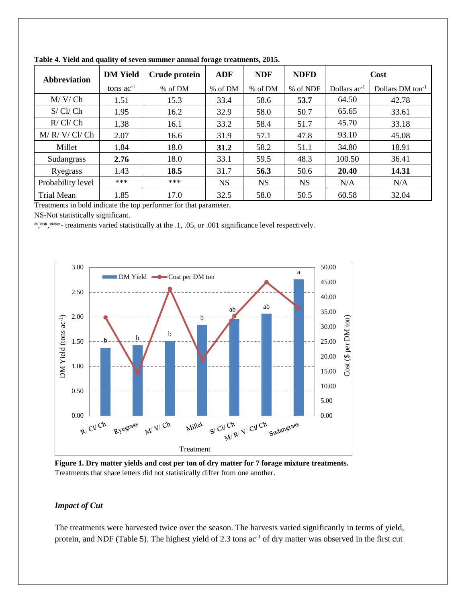| <b>Abbreviation</b> | <b>DM</b> Yield | Crude protein | ADF       | <b>NDF</b> | <b>NDFD</b> |                   | Cost                         |
|---------------------|-----------------|---------------|-----------|------------|-------------|-------------------|------------------------------|
|                     | tons $ac^{-1}$  | % of DM       | % of DM   | % of DM    | % of NDF    | Dollars $ac^{-1}$ | Dollars DM ton <sup>-1</sup> |
| M/V/Ch              | 1.51            | 15.3          | 33.4      | 58.6       | 53.7        | 64.50             | 42.78                        |
| S/CI/Ch             | 1.95            | 16.2          | 32.9      | 58.0       | 50.7        | 65.65             | 33.61                        |
| R/CI/Ch             | 1.38            | 16.1          | 33.2      | 58.4       | 51.7        | 45.70             | 33.18                        |
| M/R/V/Cl/Ch         | 2.07            | 16.6          | 31.9      | 57.1       | 47.8        | 93.10             | 45.08                        |
| Millet              | 1.84            | 18.0          | 31.2      | 58.2       | 51.1        | 34.80             | 18.91                        |
| Sudangrass          | 2.76            | 18.0          | 33.1      | 59.5       | 48.3        | 100.50            | 36.41                        |
| Ryegrass            | 1.43            | 18.5          | 31.7      | 56.3       | 50.6        | 20.40             | 14.31                        |
| Probability level   | ***             | $***$         | <b>NS</b> | <b>NS</b>  | <b>NS</b>   | N/A               | N/A                          |
| <b>Trial Mean</b>   | 1.85            | 17.0          | 32.5      | 58.0       | 50.5        | 60.58             | 32.04                        |

**Table 4. Yield and quality of seven summer annual forage treatments, 2015.**

Treatments in bold indicate the top performer for that parameter.

NS-Not statistically significant.

\*,\*\*,\*\*\*- treatments varied statistically at the .1, .05, or .001 significance level respectively.



**Figure 1. Dry matter yields and cost per ton of dry matter for 7 forage mixture treatments.** Treatments that share letters did not statistically differ from one another.

# *Impact of Cut*

The treatments were harvested twice over the season. The harvests varied significantly in terms of yield, protein, and NDF (Table 5). The highest yield of 2.3 tons ac<sup>-1</sup> of dry matter was observed in the first cut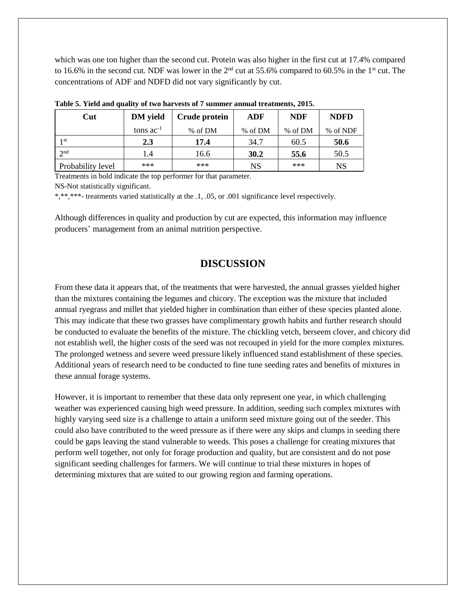which was one ton higher than the second cut. Protein was also higher in the first cut at 17.4% compared to 16.6% in the second cut. NDF was lower in the 2<sup>nd</sup> cut at 55.6% compared to 60.5% in the 1<sup>st</sup> cut. The concentrations of ADF and NDFD did not vary significantly by cut.

| Cut               | <b>DM</b> yield | Crude protein | ADF       | <b>NDF</b> | <b>NDFD</b> |  |  |
|-------------------|-----------------|---------------|-----------|------------|-------------|--|--|
|                   | tons $ac^{-1}$  | % of DM       | % of DM   | % of DM    | % of NDF    |  |  |
| 1 <sup>st</sup>   | 2.3             | 17.4          | 34.7      | 60.5       | 50.6        |  |  |
| 2 <sub>nd</sub>   | 1.4             | 16.6          | 30.2      | 55.6       | 50.5        |  |  |
| Probability level | ***             | ***           | <b>NS</b> | ***        | NS          |  |  |

**Table 5. Yield and quality of two harvests of 7 summer annual treatments, 2015.**

Treatments in bold indicate the top performer for that parameter.

NS-Not statistically significant.

\*,\*\*,\*\*\*- treatments varied statistically at the .1, .05, or .001 significance level respectively.

Although differences in quality and production by cut are expected, this information may influence producers' management from an animal nutrition perspective.

## **DISCUSSION**

From these data it appears that, of the treatments that were harvested, the annual grasses yielded higher than the mixtures containing the legumes and chicory. The exception was the mixture that included annual ryegrass and millet that yielded higher in combination than either of these species planted alone. This may indicate that these two grasses have complimentary growth habits and further research should be conducted to evaluate the benefits of the mixture. The chickling vetch, berseem clover, and chicory did not establish well, the higher costs of the seed was not recouped in yield for the more complex mixtures. The prolonged wetness and severe weed pressure likely influenced stand establishment of these species. Additional years of research need to be conducted to fine tune seeding rates and benefits of mixtures in these annual forage systems.

However, it is important to remember that these data only represent one year, in which challenging weather was experienced causing high weed pressure. In addition, seeding such complex mixtures with highly varying seed size is a challenge to attain a uniform seed mixture going out of the seeder. This could also have contributed to the weed pressure as if there were any skips and clumps in seeding there could be gaps leaving the stand vulnerable to weeds. This poses a challenge for creating mixtures that perform well together, not only for forage production and quality, but are consistent and do not pose significant seeding challenges for farmers. We will continue to trial these mixtures in hopes of determining mixtures that are suited to our growing region and farming operations.